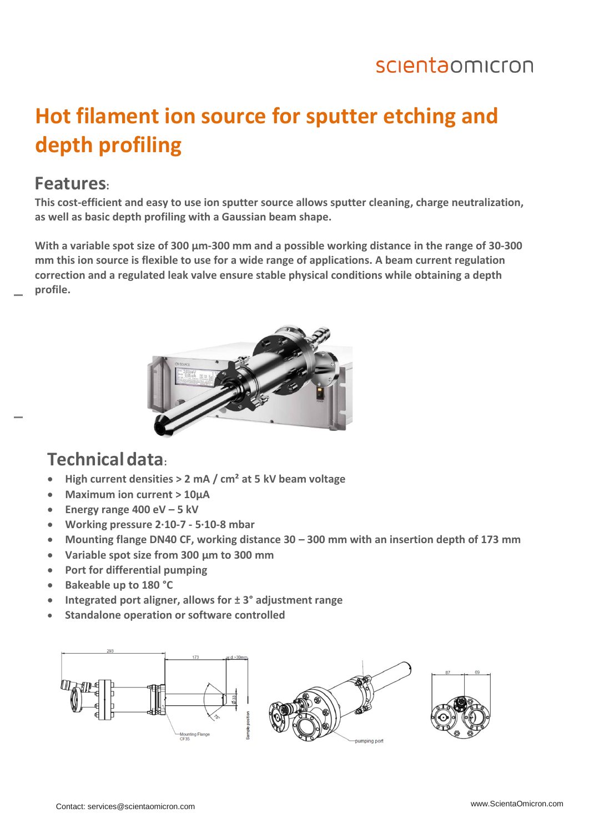### scientaomicron

# **Hot filament ion source for sputter etching and depth profiling**

#### **Features:**

**This cost-efficient and easy to use ion sputter source allows sputter cleaning, charge neutralization, as well as basic depth profiling with a Gaussian beam shape.** 

**With a variable spot size of 300 µm-300 mm and a possible working distance in the range of 30-300 mm this ion source is flexible to use for a wide range of applications. A beam current regulation correction and a regulated leak valve ensure stable physical conditions while obtaining a depth profile.**



#### **Technicaldata:**

- **High current densities > 2 mA / cm² at 5 kV beam voltage**
- **Maximum ion current > 10µA**
- **Energy range 400 eV – 5 kV**
- **Working pressure 2∙10-7 - 5∙10-8 mbar**
- **Mounting flange DN40 CF, working distance 30 – 300 mm with an insertion depth of 173 mm**
- **Variable spot size from 300 µm to 300 mm**
- **Port for differential pumping**
- **Bakeable up to 180 °C**
- **Integrated port aligner, allows for ± 3° adjustment range**
- **Standalone operation or software controlled**